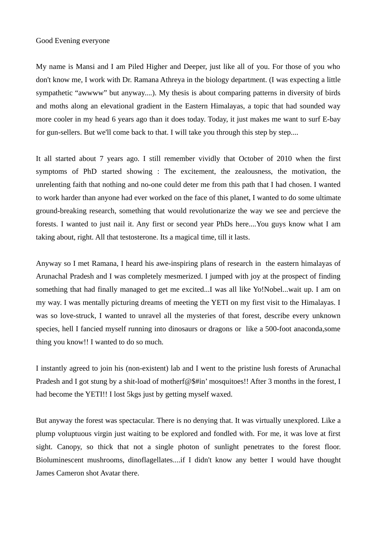## Good Evening everyone

My name is Mansi and I am Piled Higher and Deeper, just like all of you. For those of you who don't know me, I work with Dr. Ramana Athreya in the biology department. (I was expecting a little sympathetic "awwww" but anyway....). My thesis is about comparing patterns in diversity of birds and moths along an elevational gradient in the Eastern Himalayas, a topic that had sounded way more cooler in my head 6 years ago than it does today. Today, it just makes me want to surf E-bay for gun-sellers. But we'll come back to that. I will take you through this step by step....

It all started about 7 years ago. I still remember vividly that October of 2010 when the first symptoms of PhD started showing : The excitement, the zealousness, the motivation, the unrelenting faith that nothing and no-one could deter me from this path that I had chosen. I wanted to work harder than anyone had ever worked on the face of this planet, I wanted to do some ultimate ground-breaking research, something that would revolutionarize the way we see and percieve the forests. I wanted to just nail it. Any first or second year PhDs here....You guys know what I am taking about, right. All that testosterone. Its a magical time, till it lasts.

Anyway so I met Ramana, I heard his awe-inspiring plans of research in the eastern himalayas of Arunachal Pradesh and I was completely mesmerized. I jumped with joy at the prospect of finding something that had finally managed to get me excited...I was all like Yo!Nobel...wait up. I am on my way. I was mentally picturing dreams of meeting the YETI on my first visit to the Himalayas. I was so love-struck, I wanted to unravel all the mysteries of that forest, describe every unknown species, hell I fancied myself running into dinosaurs or dragons or like a 500-foot anaconda,some thing you know!! I wanted to do so much.

I instantly agreed to join his (non-existent) lab and I went to the pristine lush forests of Arunachal Pradesh and I got stung by a shit-load of motherf@\$#in' mosquitoes!! After 3 months in the forest, I had become the YETI!! I lost 5kgs just by getting myself waxed.

But anyway the forest was spectacular. There is no denying that. It was virtually unexplored. Like a plump voluptuous virgin just waiting to be explored and fondled with. For me, it was love at first sight. Canopy, so thick that not a single photon of sunlight penetrates to the forest floor. Bioluminescent mushrooms, dinoflagellates....if I didn't know any better I would have thought James Cameron shot Avatar there.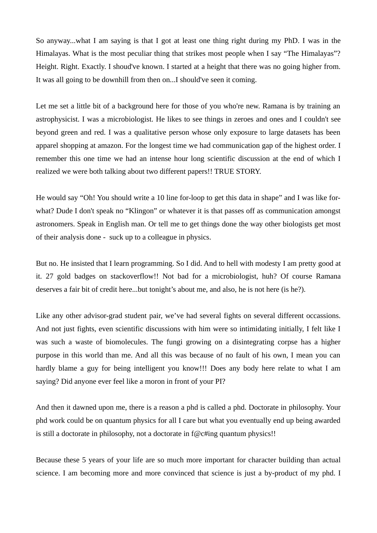So anyway...what I am saying is that I got at least one thing right during my PhD. I was in the Himalayas. What is the most peculiar thing that strikes most people when I say "The Himalayas"? Height. Right. Exactly. I shoud've known. I started at a height that there was no going higher from. It was all going to be downhill from then on...I should've seen it coming.

Let me set a little bit of a background here for those of you who're new. Ramana is by training an astrophysicist. I was a microbiologist. He likes to see things in zeroes and ones and I couldn't see beyond green and red. I was a qualitative person whose only exposure to large datasets has been apparel shopping at amazon. For the longest time we had communication gap of the highest order. I remember this one time we had an intense hour long scientific discussion at the end of which I realized we were both talking about two different papers!! TRUE STORY.

He would say "Oh! You should write a 10 line for-loop to get this data in shape" and I was like forwhat? Dude I don't speak no "Klingon" or whatever it is that passes off as communication amongst astronomers. Speak in English man. Or tell me to get things done the way other biologists get most of their analysis done - suck up to a colleague in physics.

But no. He insisted that I learn programming. So I did. And to hell with modesty I am pretty good at it. 27 gold badges on stackoverflow!! Not bad for a microbiologist, huh? Of course Ramana deserves a fair bit of credit here...but tonight's about me, and also, he is not here (is he?).

Like any other advisor-grad student pair, we've had several fights on several different occassions. And not just fights, even scientific discussions with him were so intimidating initially, I felt like I was such a waste of biomolecules. The fungi growing on a disintegrating corpse has a higher purpose in this world than me. And all this was because of no fault of his own, I mean you can hardly blame a guy for being intelligent you know!!! Does any body here relate to what I am saying? Did anyone ever feel like a moron in front of your PI?

And then it dawned upon me, there is a reason a phd is called a phd. Doctorate in philosophy. Your phd work could be on quantum physics for all I care but what you eventually end up being awarded is still a doctorate in philosophy, not a doctorate in  $f(\mathcal{Q}(\theta))$  quantum physics!!

Because these 5 years of your life are so much more important for character building than actual science. I am becoming more and more convinced that science is just a by-product of my phd. I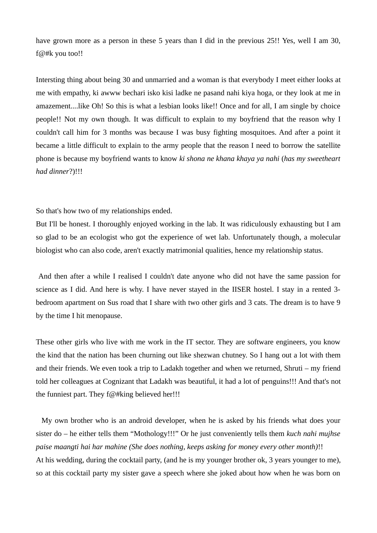have grown more as a person in these 5 years than I did in the previous 25!! Yes, well I am 30, f@#k you too!!

Intersting thing about being 30 and unmarried and a woman is that everybody I meet either looks at me with empathy, ki awww bechari isko kisi ladke ne pasand nahi kiya hoga, or they look at me in amazement....like Oh! So this is what a lesbian looks like!! Once and for all, I am single by choice people!! Not my own though. It was difficult to explain to my boyfriend that the reason why I couldn't call him for 3 months was because I was busy fighting mosquitoes. And after a point it became a little difficult to explain to the army people that the reason I need to borrow the satellite phone is because my boyfriend wants to know *ki shona ne khana khaya ya nahi* (*has my sweetheart had dinner*?)!!!

So that's how two of my relationships ended.

But I'll be honest. I thoroughly enjoyed working in the lab. It was ridiculously exhausting but I am so glad to be an ecologist who got the experience of wet lab. Unfortunately though, a molecular biologist who can also code, aren't exactly matrimonial qualities, hence my relationship status.

 And then after a while I realised I couldn't date anyone who did not have the same passion for science as I did. And here is why. I have never stayed in the IISER hostel. I stay in a rented 3 bedroom apartment on Sus road that I share with two other girls and 3 cats. The dream is to have 9 by the time I hit menopause.

These other girls who live with me work in the IT sector. They are software engineers, you know the kind that the nation has been churning out like shezwan chutney. So I hang out a lot with them and their friends. We even took a trip to Ladakh together and when we returned, Shruti – my friend told her colleagues at Cognizant that Ladakh was beautiful, it had a lot of penguins!!! And that's not the funniest part. They  $f(\mathcal{Q} \# \text{king}$  believed her!!!

 My own brother who is an android developer, when he is asked by his friends what does your sister do – he either tells them "Mothology!!!" Or he just conveniently tells them *kuch nahi mujhse paise maangti hai har mahine (She does nothing, keeps asking for money every other month)*!! At his wedding, during the cocktail party, (and he is my younger brother ok, 3 years younger to me), so at this cocktail party my sister gave a speech where she joked about how when he was born on